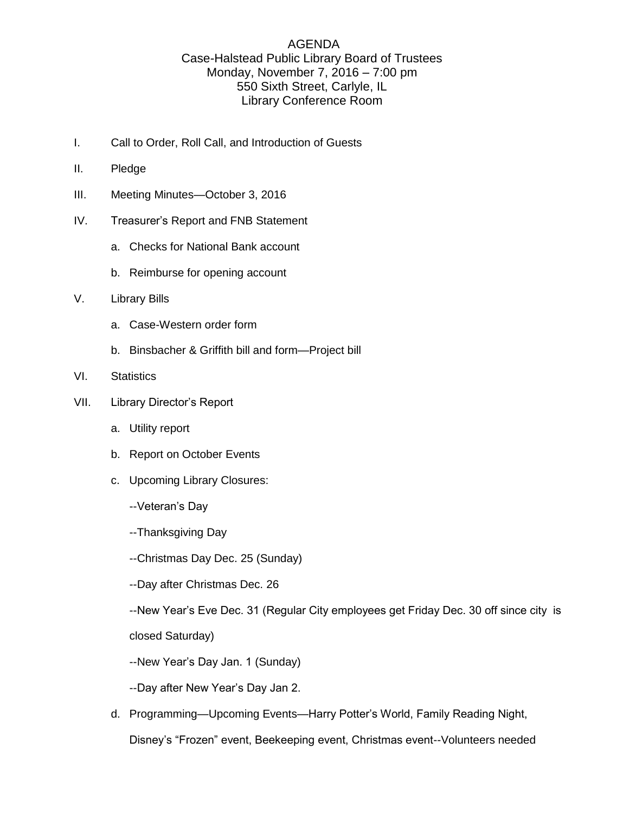## AGENDA Case-Halstead Public Library Board of Trustees Monday, November 7, 2016 – 7:00 pm 550 Sixth Street, Carlyle, IL Library Conference Room

- I. Call to Order, Roll Call, and Introduction of Guests
- II. Pledge
- III. Meeting Minutes—October 3, 2016
- IV. Treasurer's Report and FNB Statement
	- a. Checks for National Bank account
	- b. Reimburse for opening account
- V. Library Bills
	- a. Case-Western order form
	- b. Binsbacher & Griffith bill and form—Project bill
- VI. Statistics
- VII. Library Director's Report
	- a. Utility report
	- b. Report on October Events
	- c. Upcoming Library Closures:
		- --Veteran's Day
		- --Thanksgiving Day
		- --Christmas Day Dec. 25 (Sunday)
		- --Day after Christmas Dec. 26

--New Year's Eve Dec. 31 (Regular City employees get Friday Dec. 30 off since city is closed Saturday)

--New Year's Day Jan. 1 (Sunday)

--Day after New Year's Day Jan 2.

d. Programming—Upcoming Events—Harry Potter's World, Family Reading Night, Disney's "Frozen" event, Beekeeping event, Christmas event--Volunteers needed